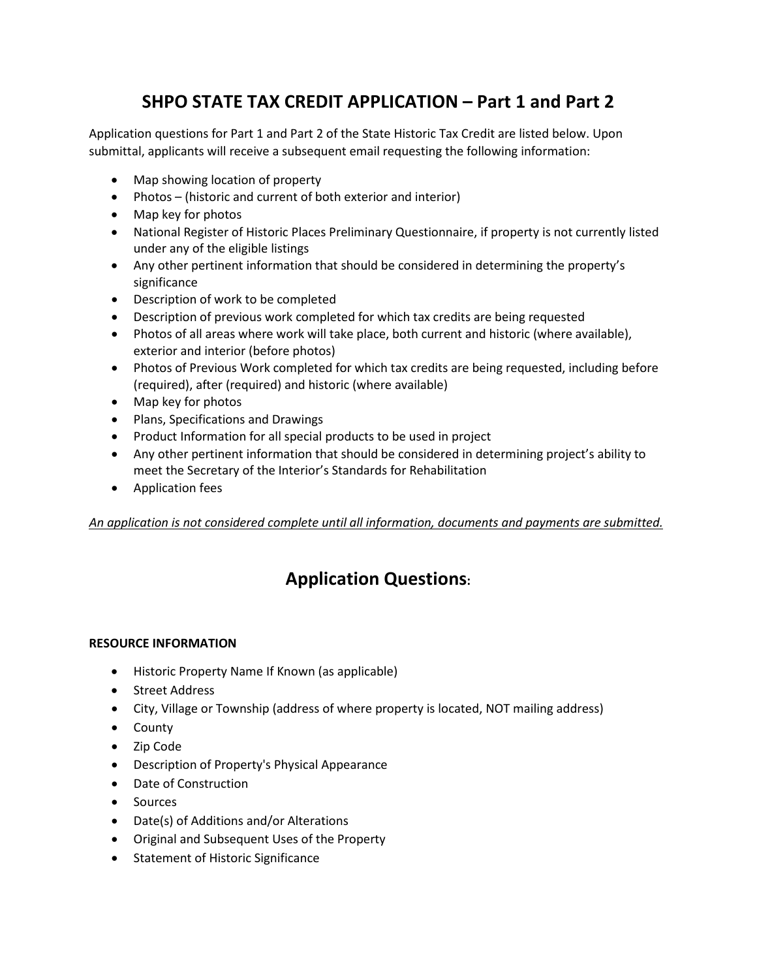## **SHPO STATE TAX CREDIT APPLICATION – Part 1 and Part 2**

Application questions for Part 1 and Part 2 of the State Historic Tax Credit are listed below. Upon submittal, applicants will receive a subsequent email requesting the following information:

- Map showing location of property
- Photos (historic and current of both exterior and interior)
- Map key for photos
- National Register of Historic Places Preliminary Questionnaire, if property is not currently listed under any of the eligible listings
- Any other pertinent information that should be considered in determining the property's significance
- Description of work to be completed
- Description of previous work completed for which tax credits are being requested
- Photos of all areas where work will take place, both current and historic (where available), exterior and interior (before photos)
- Photos of Previous Work completed for which tax credits are being requested, including before (required), after (required) and historic (where available)
- Map key for photos
- Plans, Specifications and Drawings
- Product Information for all special products to be used in project
- Any other pertinent information that should be considered in determining project's ability to meet the Secretary of the Interior's Standards for Rehabilitation
- Application fees

*An application is not considered complete until all information, documents and payments are submitted.* 

# **Application Questions:**

#### **RESOURCE INFORMATION**

- Historic Property Name If Known (as applicable)
- Street Address
- City, Village or Township (address of where property is located, NOT mailing address)
- County
- Zip Code
- Description of Property's Physical Appearance
- Date of Construction
- Sources
- Date(s) of Additions and/or Alterations
- Original and Subsequent Uses of the Property
- Statement of Historic Significance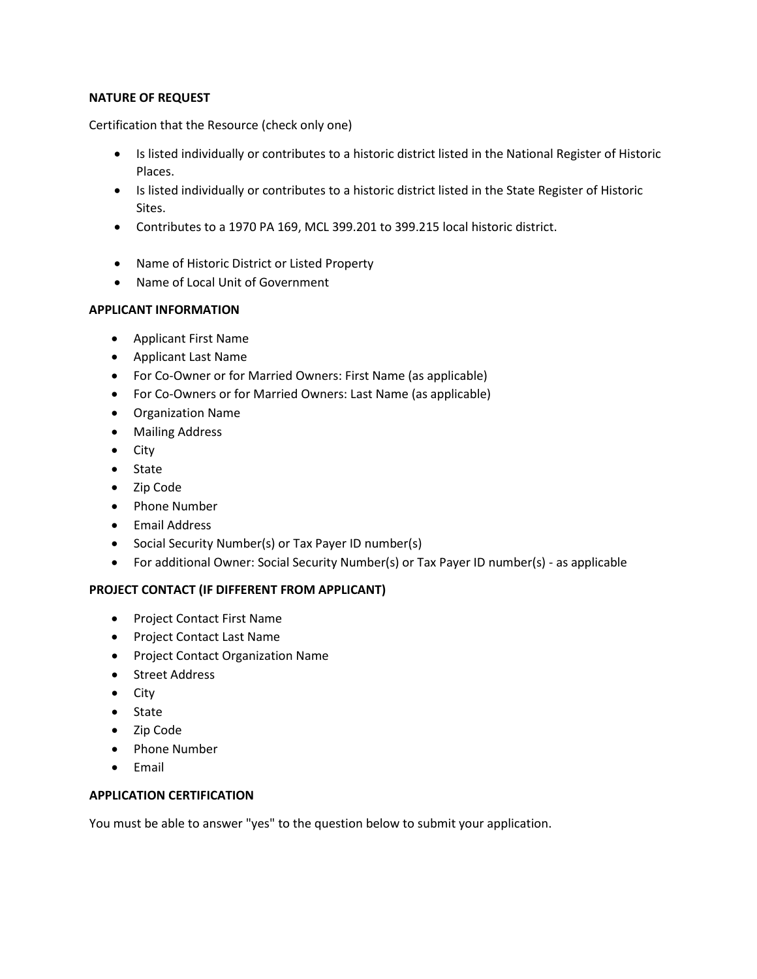#### **NATURE OF REQUEST**

Certification that the Resource (check only one)

- Is listed individually or contributes to a historic district listed in the National Register of Historic Places.
- Is listed individually or contributes to a historic district listed in the State Register of Historic Sites.
- Contributes to a 1970 PA 169, MCL 399.201 to 399.215 local historic district.
- Name of Historic District or Listed Property
- Name of Local Unit of Government

## **APPLICANT INFORMATION**

- Applicant First Name
- Applicant Last Name
- For Co-Owner or for Married Owners: First Name (as applicable)
- For Co-Owners or for Married Owners: Last Name (as applicable)
- Organization Name
- Mailing Address
- City
- State
- Zip Code
- Phone Number
- Email Address
- Social Security Number(s) or Tax Payer ID number(s)
- For additional Owner: Social Security Number(s) or Tax Payer ID number(s) as applicable

## **PROJECT CONTACT (IF DIFFERENT FROM APPLICANT)**

- Project Contact First Name
- Project Contact Last Name
- Project Contact Organization Name
- Street Address
- City
- State
- Zip Code
- Phone Number
- Email

#### **APPLICATION CERTIFICATION**

You must be able to answer "yes" to the question below to submit your application.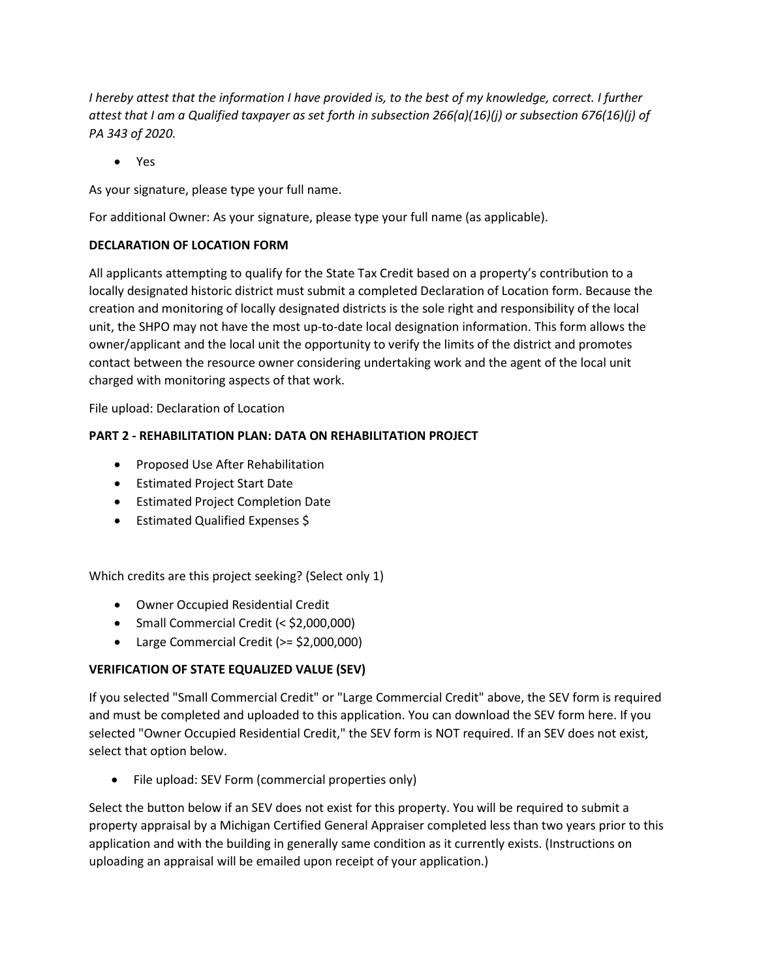*I* hereby attest that the information *I* have provided is, to the best of my knowledge, correct. *I* further *attest that I am a Qualified taxpayer as set forth in subsection 266(a)(16)(j) or subsection 676(16)(j) of PA 343 of 2020.*

• Yes

As your signature, please type your full name.

For additional Owner: As your signature, please type your full name (as applicable).

## **DECLARATION OF LOCATION FORM**

All applicants attempting to qualify for the State Tax Credit based on a property's contribution to a locally designated historic district must submit a completed Declaration of Location form. Because the creation and monitoring of locally designated districts is the sole right and responsibility of the local unit, the SHPO may not have the most up-to-date local designation information. This form allows the owner/applicant and the local unit the opportunity to verify the limits of the district and promotes contact between the resource owner considering undertaking work and the agent of the local unit charged with monitoring aspects of that work.

File upload: Declaration of Location

## **PART 2 - REHABILITATION PLAN: DATA ON REHABILITATION PROJECT**

- Proposed Use After Rehabilitation
- Estimated Project Start Date
- Estimated Project Completion Date
- Estimated Qualified Expenses \$

Which credits are this project seeking? (Select only 1)

- Owner Occupied Residential Credit
- Small Commercial Credit (< \$2,000,000)
- Large Commercial Credit (>= \$2,000,000)

## **VERIFICATION OF STATE EQUALIZED VALUE (SEV)**

If you selected "Small Commercial Credit" or "Large Commercial Credit" above, the SEV form is required and must be completed and uploaded to this application. You can download the SEV form here. If you selected "Owner Occupied Residential Credit," the SEV form is NOT required. If an SEV does not exist, select that option below.

• File upload: SEV Form (commercial properties only)

Select the button below if an SEV does not exist for this property. You will be required to submit a property appraisal by a Michigan Certified General Appraiser completed less than two years prior to this application and with the building in generally same condition as it currently exists. (Instructions on uploading an appraisal will be emailed upon receipt of your application.)